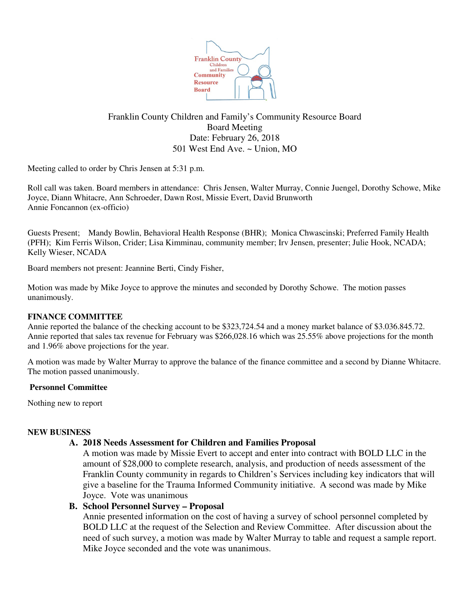

## Franklin County Children and Family's Community Resource Board Board Meeting Date: February 26, 2018 501 West End Ave. ~ Union, MO

Meeting called to order by Chris Jensen at 5:31 p.m.

Roll call was taken. Board members in attendance: Chris Jensen, Walter Murray, Connie Juengel, Dorothy Schowe, Mike Joyce, Diann Whitacre, Ann Schroeder, Dawn Rost, Missie Evert, David Brunworth Annie Foncannon (ex-officio)

Guests Present; Mandy Bowlin, Behavioral Health Response (BHR); Monica Chwascinski; Preferred Family Health (PFH); Kim Ferris Wilson, Crider; Lisa Kimminau, community member; Irv Jensen, presenter; Julie Hook, NCADA; Kelly Wieser, NCADA

Board members not present: Jeannine Berti, Cindy Fisher,

Motion was made by Mike Joyce to approve the minutes and seconded by Dorothy Schowe. The motion passes unanimously.

## **FINANCE COMMITTEE**

Annie reported the balance of the checking account to be \$323,724.54 and a money market balance of \$3.036.845.72. Annie reported that sales tax revenue for February was \$266,028.16 which was 25.55% above projections for the month and 1.96% above projections for the year.

A motion was made by Walter Murray to approve the balance of the finance committee and a second by Dianne Whitacre. The motion passed unanimously.

### **Personnel Committee**

Nothing new to report

### **NEW BUSINESS**

## **A. 2018 Needs Assessment for Children and Families Proposal**

A motion was made by Missie Evert to accept and enter into contract with BOLD LLC in the amount of \$28,000 to complete research, analysis, and production of needs assessment of the Franklin County community in regards to Children's Services including key indicators that will give a baseline for the Trauma Informed Community initiative. A second was made by Mike Joyce. Vote was unanimous

## **B. School Personnel Survey – Proposal**

Annie presented information on the cost of having a survey of school personnel completed by BOLD LLC at the request of the Selection and Review Committee. After discussion about the need of such survey, a motion was made by Walter Murray to table and request a sample report. Mike Joyce seconded and the vote was unanimous.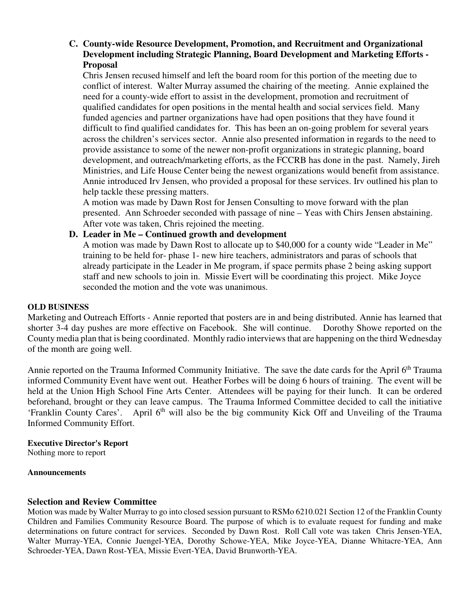# **C. County-wide Resource Development, Promotion, and Recruitment and Organizational Development including Strategic Planning, Board Development and Marketing Efforts - Proposal**

Chris Jensen recused himself and left the board room for this portion of the meeting due to conflict of interest. Walter Murray assumed the chairing of the meeting. Annie explained the need for a county-wide effort to assist in the development, promotion and recruitment of qualified candidates for open positions in the mental health and social services field. Many funded agencies and partner organizations have had open positions that they have found it difficult to find qualified candidates for. This has been an on-going problem for several years across the children's services sector. Annie also presented information in regards to the need to provide assistance to some of the newer non-profit organizations in strategic planning, board development, and outreach/marketing efforts, as the FCCRB has done in the past. Namely, Jireh Ministries, and Life House Center being the newest organizations would benefit from assistance. Annie introduced Irv Jensen, who provided a proposal for these services. Irv outlined his plan to help tackle these pressing matters.

A motion was made by Dawn Rost for Jensen Consulting to move forward with the plan presented. Ann Schroeder seconded with passage of nine – Yeas with Chirs Jensen abstaining. After vote was taken, Chris rejoined the meeting.

## **D. Leader in Me – Continued growth and development**

A motion was made by Dawn Rost to allocate up to \$40,000 for a county wide "Leader in Me" training to be held for- phase 1- new hire teachers, administrators and paras of schools that already participate in the Leader in Me program, if space permits phase 2 being asking support staff and new schools to join in. Missie Evert will be coordinating this project. Mike Joyce seconded the motion and the vote was unanimous.

### **OLD BUSINESS**

Marketing and Outreach Efforts - Annie reported that posters are in and being distributed. Annie has learned that shorter 3-4 day pushes are more effective on Facebook. She will continue. Dorothy Showe reported on the County media plan that is being coordinated. Monthly radio interviews that are happening on the third Wednesday of the month are going well.

Annie reported on the Trauma Informed Community Initiative. The save the date cards for the April 6<sup>th</sup> Trauma informed Community Event have went out. Heather Forbes will be doing 6 hours of training. The event will be held at the Union High School Fine Arts Center. Attendees will be paying for their lunch. It can be ordered beforehand, brought or they can leave campus. The Trauma Informed Committee decided to call the initiative 'Franklin County Cares'. April 6<sup>th</sup> will also be the big community Kick Off and Unveiling of the Trauma Informed Community Effort.

# **Executive Director's Report**

Nothing more to report

### **Announcements**

## **Selection and Review Committee**

Motion was made by Walter Murray to go into closed session pursuant to RSMo 6210.021 Section 12 of the Franklin County Children and Families Community Resource Board. The purpose of which is to evaluate request for funding and make determinations on future contract for services. Seconded by Dawn Rost. Roll Call vote was taken Chris Jensen-YEA, Walter Murray-YEA, Connie Juengel-YEA, Dorothy Schowe-YEA, Mike Joyce-YEA, Dianne Whitacre-YEA, Ann Schroeder-YEA, Dawn Rost-YEA, Missie Evert-YEA, David Brunworth-YEA.